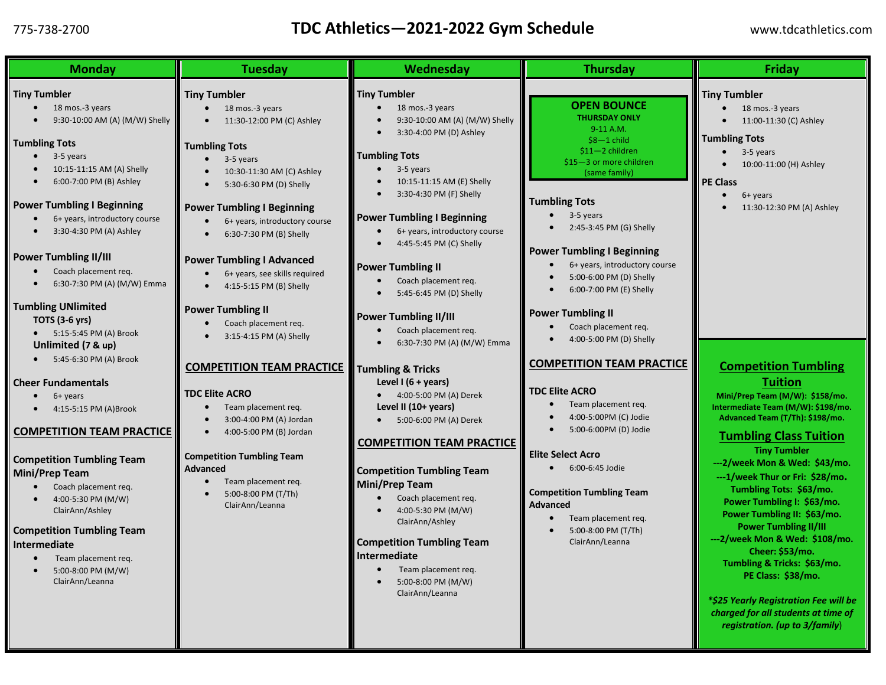## 775-738-2700 **TDC Athletics—2021-2022 Gym Schedule** www.tdcathletics.com

| <b>Monday</b><br><b>Tuesday</b>                                                                                                                                                                                                                                                                                                                                                                                                                                                                                                                                                                                                                                                                                                                                                                                                                                                                                                                                                                                                                                                                                                                                                                                                                                                                                                                                                                                                                                                                                                                                                                                                                                          | Wednesday                                                                                                                                                                                                                                                                                                                                                                                                                                                                                                                                                                                                                                                                                                                                                                                                                                                                                                          | <b>Thursday</b>                                                                                                                                                                                                                                                                                                                                                                                                                                                                                                                                                                                                                                                                                                               | <b>Friday</b>                                                                                                                                                                                                                                                                                                                                                                                                                                                                                                                                                                                                                                                                                                                                                                                                                             |
|--------------------------------------------------------------------------------------------------------------------------------------------------------------------------------------------------------------------------------------------------------------------------------------------------------------------------------------------------------------------------------------------------------------------------------------------------------------------------------------------------------------------------------------------------------------------------------------------------------------------------------------------------------------------------------------------------------------------------------------------------------------------------------------------------------------------------------------------------------------------------------------------------------------------------------------------------------------------------------------------------------------------------------------------------------------------------------------------------------------------------------------------------------------------------------------------------------------------------------------------------------------------------------------------------------------------------------------------------------------------------------------------------------------------------------------------------------------------------------------------------------------------------------------------------------------------------------------------------------------------------------------------------------------------------|--------------------------------------------------------------------------------------------------------------------------------------------------------------------------------------------------------------------------------------------------------------------------------------------------------------------------------------------------------------------------------------------------------------------------------------------------------------------------------------------------------------------------------------------------------------------------------------------------------------------------------------------------------------------------------------------------------------------------------------------------------------------------------------------------------------------------------------------------------------------------------------------------------------------|-------------------------------------------------------------------------------------------------------------------------------------------------------------------------------------------------------------------------------------------------------------------------------------------------------------------------------------------------------------------------------------------------------------------------------------------------------------------------------------------------------------------------------------------------------------------------------------------------------------------------------------------------------------------------------------------------------------------------------|-------------------------------------------------------------------------------------------------------------------------------------------------------------------------------------------------------------------------------------------------------------------------------------------------------------------------------------------------------------------------------------------------------------------------------------------------------------------------------------------------------------------------------------------------------------------------------------------------------------------------------------------------------------------------------------------------------------------------------------------------------------------------------------------------------------------------------------------|
| <b>Tiny Tumbler</b><br><b>Tiny Tumbler</b><br>18 mos.-3 years<br>18 mos.-3 years<br>$\bullet$<br>9:30-10:00 AM (A) (M/W) Shelly<br>11:30-12:00 PM (C) Ashley<br><b>Tumbling Tots</b><br><b>Tumbling Tots</b><br>$\bullet$<br>3-5 years<br>3-5 years<br>10:15-11:15 AM (A) Shelly<br>10:30-11:30 AM (C) Ashley<br>6:00-7:00 PM (B) Ashley<br>$\bullet$<br>5:30-6:30 PM (D) Shelly<br>$\bullet$<br><b>Power Tumbling I Beginning</b><br><b>Power Tumbling I Beginning</b><br>6+ years, introductory course<br>6+ years, introductory course<br>3:30-4:30 PM (A) Ashley<br>6:30-7:30 PM (B) Shelly<br><b>Power Tumbling II/III</b><br><b>Power Tumbling I Advanced</b><br>Coach placement req.<br>6+ years, see skills required<br>6:30-7:30 PM (A) (M/W) Emma<br>4:15-5:15 PM (B) Shelly<br><b>Tumbling UNlimited</b><br><b>Power Tumbling II</b><br><b>TOTS (3-6 yrs)</b><br>Coach placement req.<br>• 5:15-5:45 PM (A) Brook<br>3:15-4:15 PM (A) Shelly<br>Unlimited (7 & up)<br>5:45-6:30 PM (A) Brook<br><b>COMPETITION TEAM PRACTICE</b><br><b>Cheer Fundamentals</b><br><b>TDC Elite ACRO</b><br>6+ years<br>Team placement req.<br>$\bullet$<br>4:15-5:15 PM (A)Brook<br>3:00-4:00 PM (A) Jordan<br><b>COMPETITION TEAM PRACTICE</b><br>4:00-5:00 PM (B) Jordan<br>$\bullet$<br><b>Competition Tumbling Team</b><br><b>Competition Tumbling Team</b><br><b>Advanced</b><br><b>Mini/Prep Team</b><br>Team placement req.<br>Coach placement req.<br>5:00-8:00 PM (T/Th)<br>$\bullet$<br>4:00-5:30 PM (M/W)<br>ClairAnn/Leanna<br>ClairAnn/Ashley<br><b>Competition Tumbling Team</b><br>Intermediate<br>Team placement req.<br>5:00-8:00 PM (M/W)<br>ClairAnn/Leanna | <b>Tiny Tumbler</b><br>18 mos.-3 years<br>9:30-10:00 AM (A) (M/W) Shelly<br>3:30-4:00 PM (D) Ashley<br><b>Tumbling Tots</b><br>3-5 years<br>$\bullet$<br>10:15-11:15 AM (E) Shelly<br>3:30-4:30 PM (F) Shelly<br><b>Power Tumbling I Beginning</b><br>6+ years, introductory course<br>4:45-5:45 PM (C) Shelly<br><b>Power Tumbling II</b><br>Coach placement req.<br>5:45-6:45 PM (D) Shelly<br><b>Power Tumbling II/III</b><br>Coach placement req.<br>6:30-7:30 PM (A) (M/W) Emma<br><b>Tumbling &amp; Tricks</b><br>Level I $(6 + years)$<br>• 4:00-5:00 PM (A) Derek<br>Level II $(10+years)$<br>5:00-6:00 PM (A) Derek<br><b>COMPETITION TEAM PRACTICE</b><br><b>Competition Tumbling Team</b><br><b>Mini/Prep Team</b><br>Coach placement req.<br>4:00-5:30 PM (M/W)<br>ClairAnn/Ashley<br><b>Competition Tumbling Team</b><br>Intermediate<br>Team placement req.<br>5:00-8:00 PM (M/W)<br>ClairAnn/Leanna | <b>OPEN BOUNCE</b><br><b>THURSDAY ONLY</b><br>9-11 A.M.<br>$$8-1$ child<br>$$11 - 2$ children<br>$$15 - 3$ or more children<br>(same family)<br><b>Tumbling Tots</b><br>3-5 years<br>2:45-3:45 PM (G) Shelly<br><b>Power Tumbling I Beginning</b><br>6+ years, introductory course<br>5:00-6:00 PM (D) Shelly<br>6:00-7:00 PM (E) Shelly<br><b>Power Tumbling II</b><br>Coach placement req.<br>4:00-5:00 PM (D) Shelly<br><b>COMPETITION TEAM PRACTICE</b><br><b>TDC Elite ACRO</b><br>Team placement req.<br>4:00-5:00PM (C) Jodie<br>5:00-6:00PM (D) Jodie<br><b>Elite Select Acro</b><br>6:00-6:45 Jodie<br><b>Competition Tumbling Team</b><br>Advanced<br>Team placement req.<br>5:00-8:00 PM (T/Th)<br>ClairAnn/Leanna | <b>Tiny Tumbler</b><br>18 mos.-3 years<br>11:00-11:30 (C) Ashley<br><b>Tumbling Tots</b><br>3-5 years<br>10:00-11:00 (H) Ashley<br><b>PE Class</b><br>6+ years<br>11:30-12:30 PM (A) Ashley<br><b>Competition Tumbling</b><br><b>Tuition</b><br>Mini/Prep Team (M/W): \$158/mo.<br>Intermediate Team (M/W): \$198/mo.<br>Advanced Team (T/Th): \$198/mo.<br><b>Tumbling Class Tuition</b><br><b>Tiny Tumbler</b><br>--- 2/week Mon & Wed: \$43/mo.<br>---1/week Thur or Fri: \$28/mo.<br>Tumbling Tots: \$63/mo.<br>Power Tumbling I: \$63/mo.<br>Power Tumbling II: \$63/mo.<br><b>Power Tumbling II/III</b><br>---2/week Mon & Wed: \$108/mo.<br>Cheer: \$53/mo.<br>Tumbling & Tricks: \$63/mo.<br>PE Class: \$38/mo.<br>*\$25 Yearly Registration Fee will be<br>charged for all students at time of<br>registration. (up to 3/family) |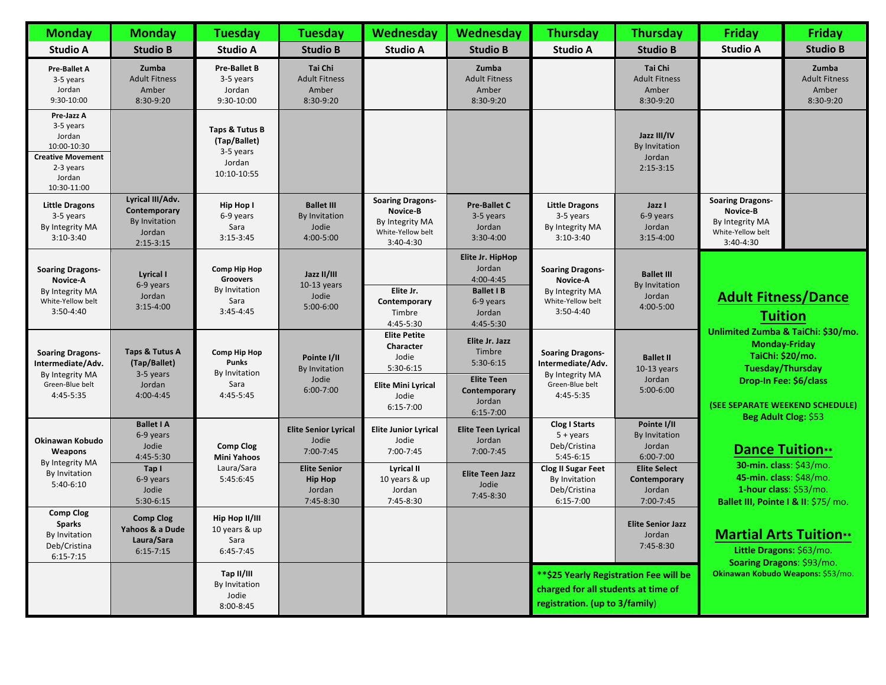| <b>Monday</b>                                                                                                      | <b>Monday</b>                                                              | <b>Tuesday</b>                                                        | <b>Tuesday</b>                                                                             | Wednesday                                                                                                       | Wednesday                                                                                       | <b>Thursday</b>                                                                                                               | <b>Thursday</b>                                                                                                                                       | <b>Friday</b>                                                                            | <b>Friday</b>                                                                                                                               |
|--------------------------------------------------------------------------------------------------------------------|----------------------------------------------------------------------------|-----------------------------------------------------------------------|--------------------------------------------------------------------------------------------|-----------------------------------------------------------------------------------------------------------------|-------------------------------------------------------------------------------------------------|-------------------------------------------------------------------------------------------------------------------------------|-------------------------------------------------------------------------------------------------------------------------------------------------------|------------------------------------------------------------------------------------------|---------------------------------------------------------------------------------------------------------------------------------------------|
| <b>Studio A</b>                                                                                                    | <b>Studio B</b>                                                            | <b>Studio A</b>                                                       | <b>Studio B</b>                                                                            | <b>Studio A</b>                                                                                                 | <b>Studio B</b>                                                                                 | <b>Studio A</b>                                                                                                               | <b>Studio B</b>                                                                                                                                       | <b>Studio A</b>                                                                          | <b>Studio B</b>                                                                                                                             |
| <b>Pre-Ballet A</b><br>3-5 years<br>Jordan<br>9:30-10:00                                                           | Zumba<br><b>Adult Fitness</b><br>Amber<br>8:30-9:20                        | <b>Pre-Ballet B</b><br>3-5 years<br>Jordan<br>9:30-10:00              | Tai Chi<br><b>Adult Fitness</b><br>Amber<br>8:30-9:20                                      |                                                                                                                 | Zumba<br><b>Adult Fitness</b><br>Amber<br>$8:30-9:20$                                           |                                                                                                                               | Tai Chi<br><b>Adult Fitness</b><br>Amber<br>8:30-9:20                                                                                                 |                                                                                          | Zumba<br><b>Adult Fitness</b><br>Amber<br>8:30-9:20                                                                                         |
| Pre-Jazz A<br>3-5 years<br>Jordan<br>10:00-10:30<br><b>Creative Movement</b><br>2-3 years<br>Jordan<br>10:30-11:00 |                                                                            | Taps & Tutus B<br>(Tap/Ballet)<br>3-5 years<br>Jordan<br>10:10-10:55  |                                                                                            |                                                                                                                 |                                                                                                 |                                                                                                                               | Jazz III/IV<br>By Invitation<br>Jordan<br>$2:15-3:15$                                                                                                 |                                                                                          |                                                                                                                                             |
| <b>Little Dragons</b><br>3-5 years<br>By Integrity MA<br>$3:10-3:40$                                               | Lyrical III/Adv.<br>Contemporary<br>By Invitation<br>Jordan<br>$2:15-3:15$ | Hip Hop I<br>6-9 years<br>Sara<br>$3:15-3:45$                         | <b>Ballet III</b><br>By Invitation<br>Jodie<br>4:00-5:00                                   | <b>Soaring Dragons-</b><br>Novice-B<br>By Integrity MA<br>White-Yellow belt<br>3:40-4:30                        | <b>Pre-Ballet C</b><br>3-5 years<br>Jordan<br>$3:30-4:00$                                       | <b>Little Dragons</b><br>3-5 years<br>By Integrity MA<br>$3:10-3:40$                                                          | Jazz I<br>6-9 years<br>Jordan<br>$3:15-4:00$                                                                                                          | <b>Soaring Dragons-</b><br>Novice-B<br>By Integrity MA<br>White-Yellow belt<br>3:40-4:30 |                                                                                                                                             |
| <b>Soaring Dragons-</b><br>Novice-A<br>By Integrity MA<br>White-Yellow belt<br>3:50-4:40                           | <b>Lyrical I</b><br>6-9 years<br>Jordan<br>$3:15-4:00$                     | Comp Hip Hop<br><b>Groovers</b><br>By Invitation<br>Sara<br>3:45-4:45 | Jazz II/III<br>$10-13$ years<br>Jodie<br>$5:00-6:00$                                       | Elite Jr.<br>Contemporary<br>Timbre<br>4:45-5:30                                                                | Elite Jr. HipHop<br>Jordan<br>4:00-4:45<br><b>Ballet IB</b><br>6-9 years<br>Jordan<br>4:45-5:30 | <b>Soaring Dragons-</b><br>Novice-A<br>By Integrity MA<br>White-Yellow belt<br>3:50-4:40                                      | <b>Ballet III</b><br>By Invitation<br>Jordan<br>4:00-5:00                                                                                             | <b>Adult Fitness/Dance</b><br><b>Tuition</b>                                             |                                                                                                                                             |
| <b>Soaring Dragons-</b><br>Intermediate/Adv.<br>By Integrity MA<br>Green-Blue belt<br>4:45-5:35                    | Taps & Tutus A<br>(Tap/Ballet)<br>3-5 years<br>Jordan<br>4:00-4:45         | <b>Comp Hip Hop</b><br>Punks<br>By Invitation<br>Sara<br>4:45-5:45    | Pointe I/II<br><b>By Invitation</b><br>Jodie<br>6:00-7:00                                  | <b>Elite Petite</b><br>Character<br>Jodie<br>$5:30-6:15$<br><b>Elite Mini Lyrical</b><br>Jodie<br>$6:15 - 7:00$ | Elite Jr. Jazz<br>Timbre<br>5:30-6:15<br><b>Elite Teen</b><br>Contemporary<br>Jordan            | <b>Soaring Dragons-</b><br>Intermediate/Adv.<br>By Integrity MA<br>Green-Blue belt<br>4:45-5:35                               | <b>Ballet II</b><br>$10-13$ years<br>Jordan<br>5:00-6:00                                                                                              | TaiChi: \$20/mo.                                                                         | Unlimited Zumba & TaiChi: \$30/mo.<br><b>Monday-Friday</b><br>Tuesday/Thursday<br>Drop-In Fee: \$6/class<br>(SEE SEPARATE WEEKEND SCHEDULE) |
| Okinawan Kobudo<br>Weapons<br>By Integrity MA<br>By Invitation                                                     | <b>Ballet I A</b><br>6-9 years<br>Jodie<br>4:45-5:30<br>Tap I<br>6-9 years | <b>Comp Clog</b><br><b>Mini Yahoos</b><br>Laura/Sara<br>5:45:6:45     | <b>Elite Senior Lyrical</b><br>Jodie<br>7:00-7:45<br><b>Elite Senior</b><br><b>Hip Hop</b> | <b>Elite Junior Lyrical</b><br>Jodie<br>7:00-7:45<br>Lyrical II<br>10 years & up                                | $6:15-7:00$<br><b>Elite Teen Lyrical</b><br>Jordan<br>7:00-7:45<br><b>Elite Teen Jazz</b>       | <b>Clog I Starts</b><br>$5 + \gamma$ ears<br>Deb/Cristina<br>$5:45-6:15$<br><b>Clog II Sugar Feet</b><br><b>By Invitation</b> | Pointe I/II<br>By Invitation<br>Jordan<br>$6:00 - 7:00$<br><b>Elite Select</b><br>Contemporary                                                        | 45-min. class: \$48/mo.                                                                  | Beg Adult Clog: \$53<br><b>Dance Tuition**</b><br>30-min. class: \$43/mo.                                                                   |
| $5:40-6:10$                                                                                                        | Jodie<br>5:30-6:15                                                         |                                                                       | Jordan<br>7:45-8:30                                                                        | Jordan<br>7:45-8:30                                                                                             | Jodie<br>7:45-8:30                                                                              | Deb/Cristina<br>$6:15 - 7:00$                                                                                                 | Jordan<br>7:00-7:45                                                                                                                                   | 1-hour class: \$53/mo.                                                                   | Ballet III, Pointe I & II: \$75/ mo.                                                                                                        |
| <b>Comp Clog</b><br><b>Sparks</b><br>By Invitation<br>Deb/Cristina<br>$6:15 - 7:15$                                | <b>Comp Clog</b><br>Yahoos & a Dude<br>Laura/Sara<br>$6:15 - 7:15$         | Hip Hop II/III<br>10 years & up<br>Sara<br>$6:45 - 7:45$              |                                                                                            |                                                                                                                 |                                                                                                 |                                                                                                                               | <b>Elite Senior Jazz</b><br>Jordan<br>7:45-8:30                                                                                                       | <b>Martial Arts Tuition**</b><br>Little Dragons: \$63/mo.<br>Soaring Dragons: \$93/mo.   |                                                                                                                                             |
|                                                                                                                    |                                                                            | Tap II/III<br>By Invitation<br>Jodie<br>8:00-8:45                     |                                                                                            |                                                                                                                 |                                                                                                 |                                                                                                                               | Okinawan Kobudo Weapons: \$53/mo.<br>** \$25 Yearly Registration Fee will be<br>charged for all students at time of<br>registration. (up to 3/family) |                                                                                          |                                                                                                                                             |